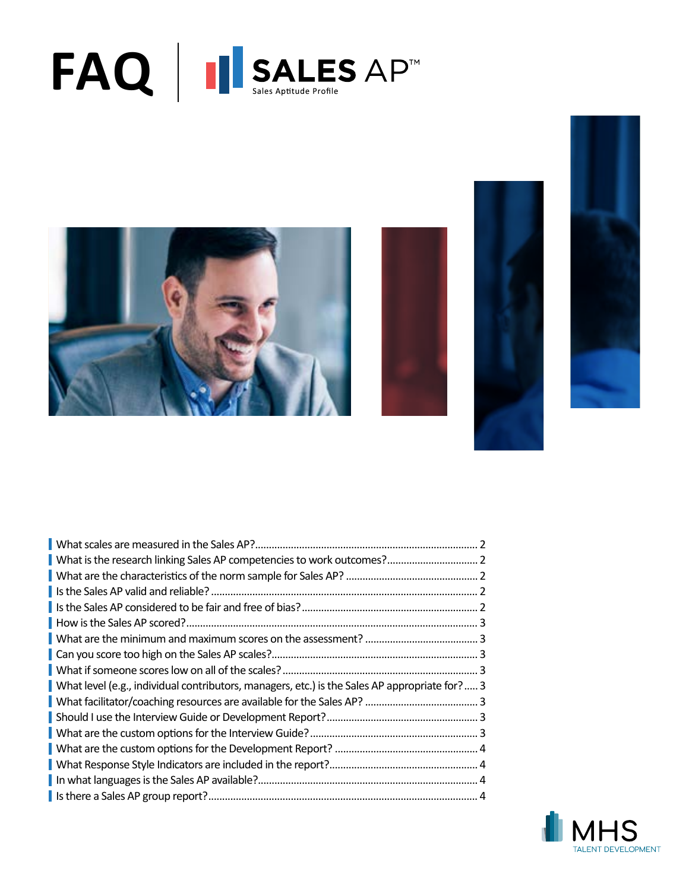







| What level (e.g., individual contributors, managers, etc.) is the Sales AP appropriate for? 3 |  |
|-----------------------------------------------------------------------------------------------|--|
|                                                                                               |  |
|                                                                                               |  |
|                                                                                               |  |
|                                                                                               |  |
|                                                                                               |  |
|                                                                                               |  |
|                                                                                               |  |

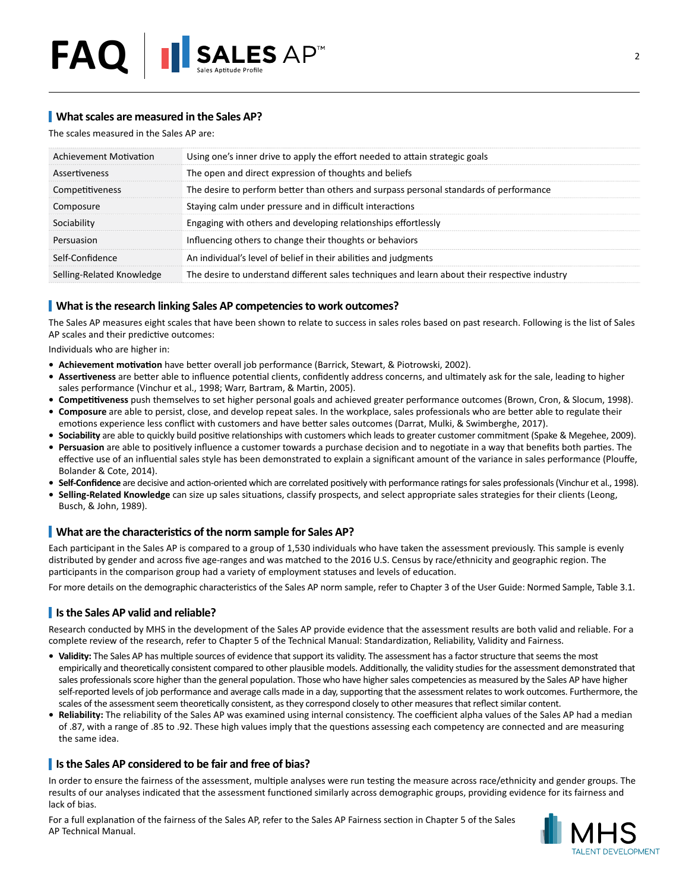## <span id="page-1-0"></span>**What scales are measured in the Sales AP?**

The scales measured in the Sales AP are:

| Achievement Motivation    | Using one's inner drive to apply the effort needed to attain strategic goals                  |  |
|---------------------------|-----------------------------------------------------------------------------------------------|--|
| Assertiveness             | The open and direct expression of thoughts and beliefs                                        |  |
| Competitiveness           | The desire to perform better than others and surpass personal standards of performance        |  |
| Composure                 | Staying calm under pressure and in difficult interactions                                     |  |
| Sociability               | Engaging with others and developing relationships effortlessly                                |  |
| Persuasion                | Influencing others to change their thoughts or behaviors                                      |  |
| Self-Confidence           | An individual's level of belief in their abilities and judgments                              |  |
| Selling-Related Knowledge | The desire to understand different sales techniques and learn about their respective industry |  |

## <span id="page-1-1"></span>**What is the research linking Sales AP competencies to work outcomes?**

The Sales AP measures eight scales that have been shown to relate to success in sales roles based on past research. Following is the list of Sales AP scales and their predictive outcomes:

Individuals who are higher in:

- **• Achievement motivation** have better overall job performance (Barrick, Stewart, & Piotrowski, 2002).
- **• Assertiveness** are better able to influence potential clients, confidently address concerns, and ultimately ask for the sale, leading to higher sales performance (Vinchur et al., 1998; Warr, Bartram, & Martin, 2005).
- **• Competitiveness** push themselves to set higher personal goals and achieved greater performance outcomes (Brown, Cron, & Slocum, 1998). **• Composure** are able to persist, close, and develop repeat sales. In the workplace, sales professionals who are better able to regulate their
- emotions experience less conflict with customers and have better sales outcomes (Darrat, Mulki, & Swimberghe, 2017).
- **• Sociability** are able to quickly build positive relationships with customers which leads to greater customer commitment (Spake & Megehee, 2009). **• Persuasion** are able to positively influence a customer towards a purchase decision and to negotiate in a way that benefits both parties. The effective use of an influential sales style has been demonstrated to explain a significant amount of the variance in sales performance (Plouffe, Bolander & Cote, 2014).
- **• Self-Confidence** are decisive and action-oriented which are correlated positively with performance ratings for sales professionals (Vinchur et al., 1998).
- **• Selling-Related Knowledge** can size up sales situations, classify prospects, and select appropriate sales strategies for their clients (Leong, Busch, & John, 1989).

## <span id="page-1-2"></span>**What are the characteristics of the norm sample for Sales AP?**

Each participant in the Sales AP is compared to a group of 1,530 individuals who have taken the assessment previously. This sample is evenly distributed by gender and across five age-ranges and was matched to the 2016 U.S. Census by race/ethnicity and geographic region. The participants in the comparison group had a variety of employment statuses and levels of education.

For more details on the demographic characteristics of the Sales AP norm sample, refer to Chapter 3 of the User Guide: Normed Sample, Table 3.1.

## <span id="page-1-3"></span>**Is the Sales AP valid and reliable?**

Research conducted by MHS in the development of the Sales AP provide evidence that the assessment results are both valid and reliable. For a complete review of the research, refer to Chapter 5 of the Technical Manual: Standardization, Reliability, Validity and Fairness.

- **• Validity:** The Sales AP has multiple sources of evidence that support its validity. The assessment has a factor structure that seems the most empirically and theoretically consistent compared to other plausible models. Additionally, the validity studies for the assessment demonstrated that sales professionals score higher than the general population. Those who have higher sales competencies as measured by the Sales AP have higher self-reported levels of job performance and average calls made in a day, supporting that the assessment relates to work outcomes. Furthermore, the scales of the assessment seem theoretically consistent, as they correspond closely to other measures that reflect similar content.
- **• Reliability:** The reliability of the Sales AP was examined using internal consistency. The coefficient alpha values of the Sales AP had a median of .87, with a range of .85 to .92. These high values imply that the questions assessing each competency are connected and are measuring the same idea.

#### <span id="page-1-4"></span>**Is the Sales AP considered to be fair and free of bias?**

In order to ensure the fairness of the assessment, multiple analyses were run testing the measure across race/ethnicity and gender groups. The results of our analyses indicated that the assessment functioned similarly across demographic groups, providing evidence for its fairness and lack of bias.

For a full explanation of the fairness of the Sales AP, refer to the Sales AP Fairness section in Chapter 5 of the Sales AP Technical Manual.

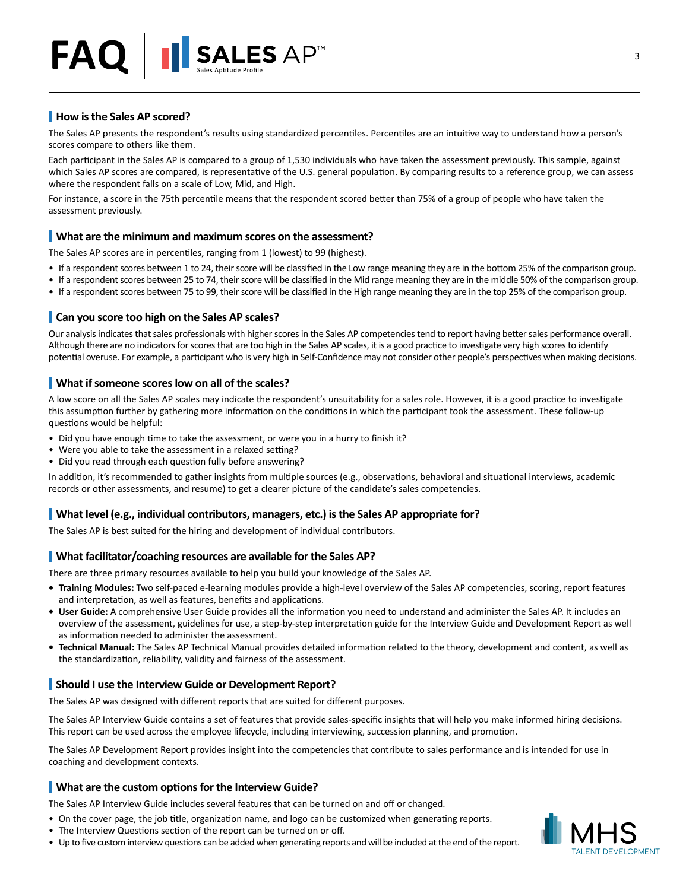# <span id="page-2-0"></span>**How is the Sales AP scored?**

The Sales AP presents the respondent's results using standardized percentiles. Percentiles are an intuitive way to understand how a person's scores compare to others like them.

Each participant in the Sales AP is compared to a group of 1,530 individuals who have taken the assessment previously. This sample, against which Sales AP scores are compared, is representative of the U.S. general population. By comparing results to a reference group, we can assess where the respondent falls on a scale of Low, Mid, and High.

For instance, a score in the 75th percentile means that the respondent scored better than 75% of a group of people who have taken the assessment previously.

#### <span id="page-2-1"></span>**What are the minimum and maximum scores on the assessment?**

The Sales AP scores are in percentiles, ranging from 1 (lowest) to 99 (highest).

- If a respondent scores between 1 to 24, their score will be classified in the Low range meaning they are in the bottom 25% of the comparison group.
- If a respondent scores between 25 to 74, their score will be classified in the Mid range meaning they are in the middle 50% of the comparison group.
- If a respondent scores between 75 to 99, their score will be classified in the High range meaning they are in the top 25% of the comparison group.

#### <span id="page-2-2"></span>**Can you score too high on the Sales AP scales?**

Our analysis indicates that sales professionals with higher scores in the Sales AP competencies tend to report having better sales performance overall. Although there are no indicators for scores that are too high in the Sales AP scales, it is a good practice to investigate very high scores to identify potential overuse. For example, a participant who is very high in Self-Confidence may not consider other people's perspectives when making decisions.

#### <span id="page-2-3"></span>**What if someone scores low on all of the scales?**

A low score on all the Sales AP scales may indicate the respondent's unsuitability for a sales role. However, it is a good practice to investigate this assumption further by gathering more information on the conditions in which the participant took the assessment. These follow-up questions would be helpful:

- Did you have enough time to take the assessment, or were you in a hurry to finish it?
- Were you able to take the assessment in a relaxed setting?
- Did you read through each question fully before answering?

In addition, it's recommended to gather insights from multiple sources (e.g., observations, behavioral and situational interviews, academic records or other assessments, and resume) to get a clearer picture of the candidate's sales competencies.

#### <span id="page-2-4"></span>**What level (e.g., individual contributors, managers, etc.) is the Sales AP appropriate for?**

The Sales AP is best suited for the hiring and development of individual contributors.

#### <span id="page-2-5"></span>**What facilitator/coaching resources are available for the Sales AP?**

There are three primary resources available to help you build your knowledge of the Sales AP.

- **• Training Modules:** Two self-paced e-learning modules provide a high-level overview of the Sales AP competencies, scoring, report features and interpretation, as well as features, benefits and applications.
- **• User Guide:** A comprehensive User Guide provides all the information you need to understand and administer the Sales AP. It includes an overview of the assessment, guidelines for use, a step-by-step interpretation guide for the Interview Guide and Development Report as well as information needed to administer the assessment.
- **• Technical Manual:** The Sales AP Technical Manual provides detailed information related to the theory, development and content, as well as the standardization, reliability, validity and fairness of the assessment.

#### <span id="page-2-6"></span>**Should I use the Interview Guide or Development Report?**

The Sales AP was designed with different reports that are suited for different purposes.

The Sales AP Interview Guide contains a set of features that provide sales-specific insights that will help you make informed hiring decisions. This report can be used across the employee lifecycle, including interviewing, succession planning, and promotion.

The Sales AP Development Report provides insight into the competencies that contribute to sales performance and is intended for use in coaching and development contexts.

#### <span id="page-2-7"></span>**What are the custom options for the Interview Guide?**

The Sales AP Interview Guide includes several features that can be turned on and off or changed.

- On the cover page, the job title, organization name, and logo can be customized when generating reports.
- The Interview Questions section of the report can be turned on or off.
- Up to five custom interview questions can be added when generating reports and will be included at the end of the report.